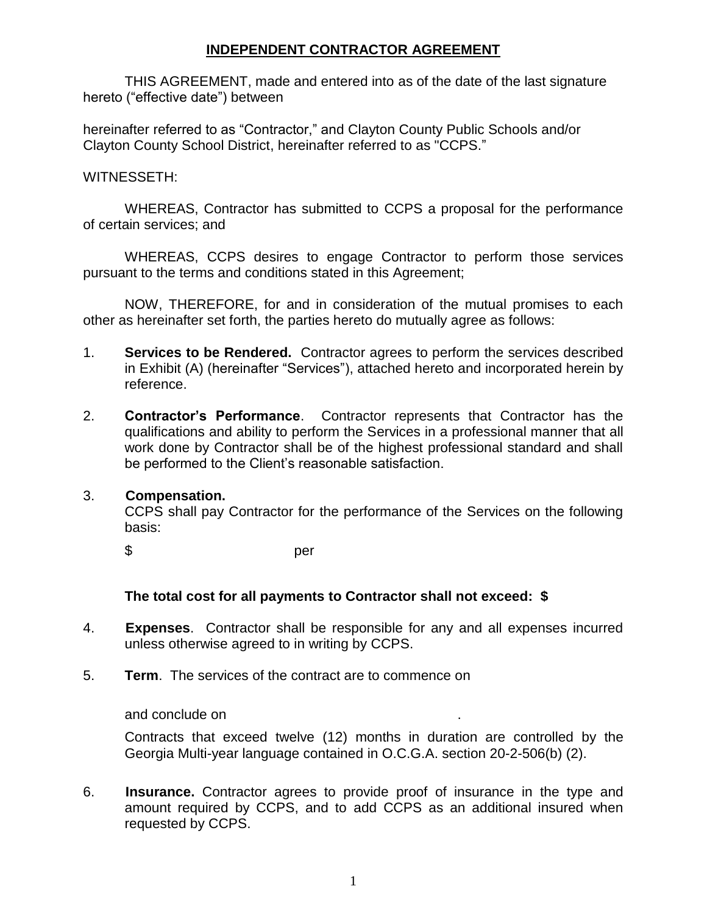### **INDEPENDENT CONTRACTOR AGREEMENT**

THIS AGREEMENT, made and entered into as of the date of the last signature hereto ("effective date") between

hereinafter referred to as "Contractor," and Clayton County Public Schools and/or Clayton County School District, hereinafter referred to as "CCPS."

#### WITNESSETH:

WHEREAS, Contractor has submitted to CCPS a proposal for the performance of certain services; and

WHEREAS, CCPS desires to engage Contractor to perform those services pursuant to the terms and conditions stated in this Agreement;

NOW, THEREFORE, for and in consideration of the mutual promises to each other as hereinafter set forth, the parties hereto do mutually agree as follows:

- 1. **Services to be Rendered.** Contractor agrees to perform the services described in Exhibit (A) (hereinafter "Services"), attached hereto and incorporated herein by reference.
- 2. **Contractor's Performance**. Contractor represents that Contractor has the qualifications and ability to perform the Services in a professional manner that all work done by Contractor shall be of the highest professional standard and shall be performed to the Client's reasonable satisfaction.

#### 3. **Compensation.**

CCPS shall pay Contractor for the performance of the Services on the following basis:

\$ per

#### **The total cost for all payments to Contractor shall not exceed: \$**

- 4. **Expenses**. Contractor shall be responsible for any and all expenses incurred unless otherwise agreed to in writing by CCPS.
- 5. **Term**. The services of the contract are to commence on

and conclude on .

Contracts that exceed twelve (12) months in duration are controlled by the Georgia Multi-year language contained in O.C.G.A. section 20-2-506(b) (2).

6. **Insurance.** Contractor agrees to provide proof of insurance in the type and amount required by CCPS, and to add CCPS as an additional insured when requested by CCPS.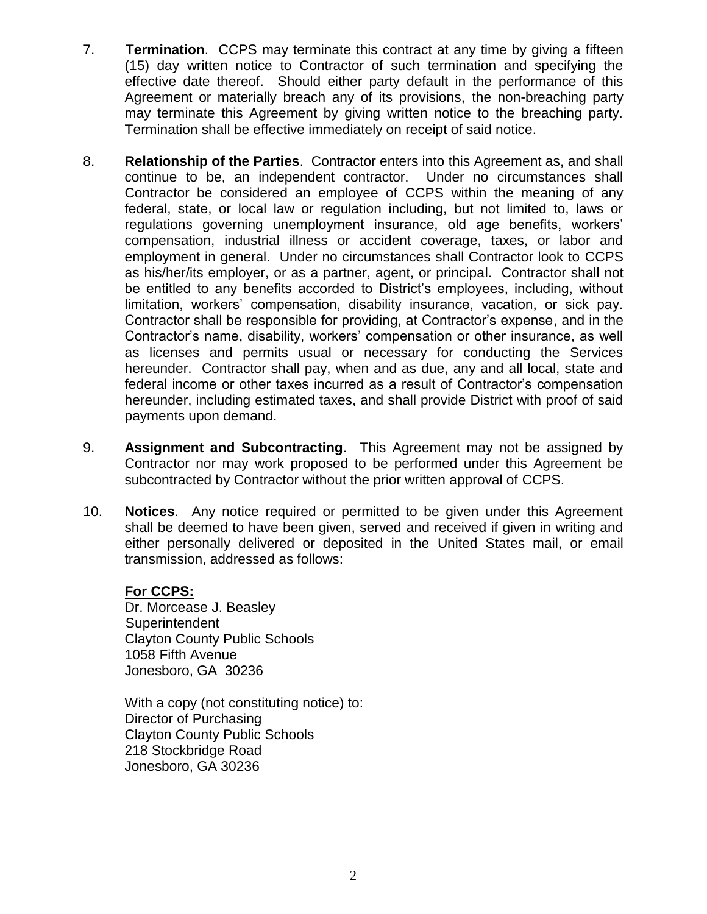- 7. **Termination**. CCPS may terminate this contract at any time by giving a fifteen (15) day written notice to Contractor of such termination and specifying the effective date thereof. Should either party default in the performance of this Agreement or materially breach any of its provisions, the non-breaching party may terminate this Agreement by giving written notice to the breaching party. Termination shall be effective immediately on receipt of said notice.
- 8. **Relationship of the Parties**. Contractor enters into this Agreement as, and shall continue to be, an independent contractor. Under no circumstances shall Contractor be considered an employee of CCPS within the meaning of any federal, state, or local law or regulation including, but not limited to, laws or regulations governing unemployment insurance, old age benefits, workers' compensation, industrial illness or accident coverage, taxes, or labor and employment in general. Under no circumstances shall Contractor look to CCPS as his/her/its employer, or as a partner, agent, or principal. Contractor shall not be entitled to any benefits accorded to District's employees, including, without limitation, workers' compensation, disability insurance, vacation, or sick pay. Contractor shall be responsible for providing, at Contractor's expense, and in the Contractor's name, disability, workers' compensation or other insurance, as well as licenses and permits usual or necessary for conducting the Services hereunder. Contractor shall pay, when and as due, any and all local, state and federal income or other taxes incurred as a result of Contractor's compensation hereunder, including estimated taxes, and shall provide District with proof of said payments upon demand.
- 9. **Assignment and Subcontracting**. This Agreement may not be assigned by Contractor nor may work proposed to be performed under this Agreement be subcontracted by Contractor without the prior written approval of CCPS.
- 10. **Notices**. Any notice required or permitted to be given under this Agreement shall be deemed to have been given, served and received if given in writing and either personally delivered or deposited in the United States mail, or email transmission, addressed as follows:

#### **For CCPS:**

Dr. Morcease J. Beasley **Superintendent** Clayton County Public Schools 1058 Fifth Avenue Jonesboro, GA 30236

With a copy (not constituting notice) to: Director of Purchasing Clayton County Public Schools 218 Stockbridge Road Jonesboro, GA 30236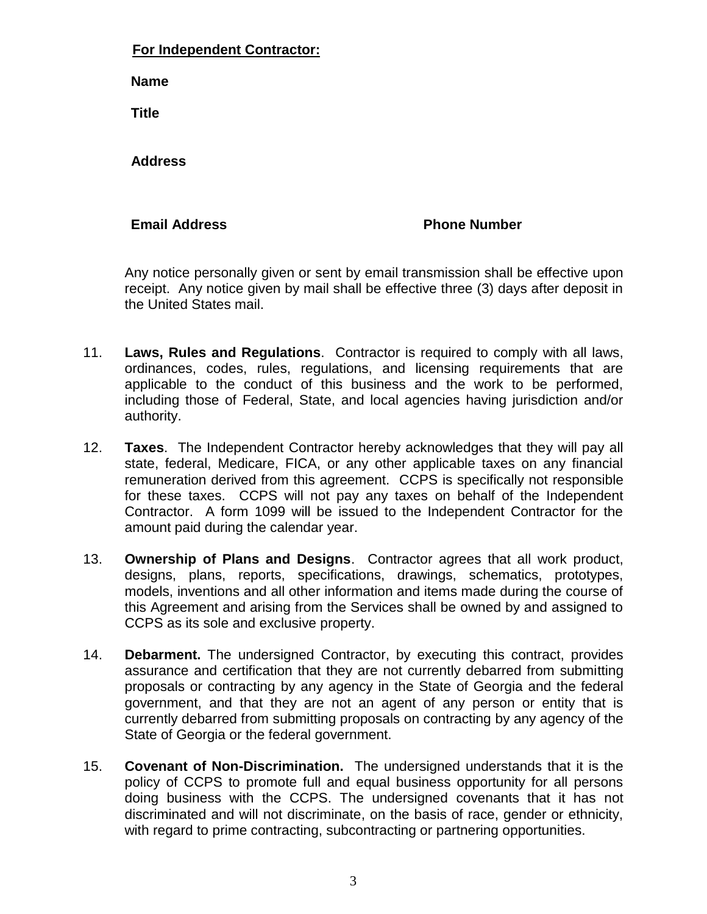### **For Independent Contractor:**

**Name** 

**Title** 

 **Address** 

### **Email Address Community Community Phone Number**

Any notice personally given or sent by email transmission shall be effective upon receipt. Any notice given by mail shall be effective three (3) days after deposit in the United States mail.

- 11. **Laws, Rules and Regulations**. Contractor is required to comply with all laws, ordinances, codes, rules, regulations, and licensing requirements that are applicable to the conduct of this business and the work to be performed, including those of Federal, State, and local agencies having jurisdiction and/or authority.
- 12. **Taxes**. The Independent Contractor hereby acknowledges that they will pay all state, federal, Medicare, FICA, or any other applicable taxes on any financial remuneration derived from this agreement. CCPS is specifically not responsible for these taxes. CCPS will not pay any taxes on behalf of the Independent Contractor. A form 1099 will be issued to the Independent Contractor for the amount paid during the calendar year.
- 13. **Ownership of Plans and Designs**. Contractor agrees that all work product, designs, plans, reports, specifications, drawings, schematics, prototypes, models, inventions and all other information and items made during the course of this Agreement and arising from the Services shall be owned by and assigned to CCPS as its sole and exclusive property.
- 14. **Debarment.** The undersigned Contractor, by executing this contract, provides assurance and certification that they are not currently debarred from submitting proposals or contracting by any agency in the State of Georgia and the federal government, and that they are not an agent of any person or entity that is currently debarred from submitting proposals on contracting by any agency of the State of Georgia or the federal government.
- 15. **Covenant of Non-Discrimination.** The undersigned understands that it is the policy of CCPS to promote full and equal business opportunity for all persons doing business with the CCPS. The undersigned covenants that it has not discriminated and will not discriminate, on the basis of race, gender or ethnicity, with regard to prime contracting, subcontracting or partnering opportunities.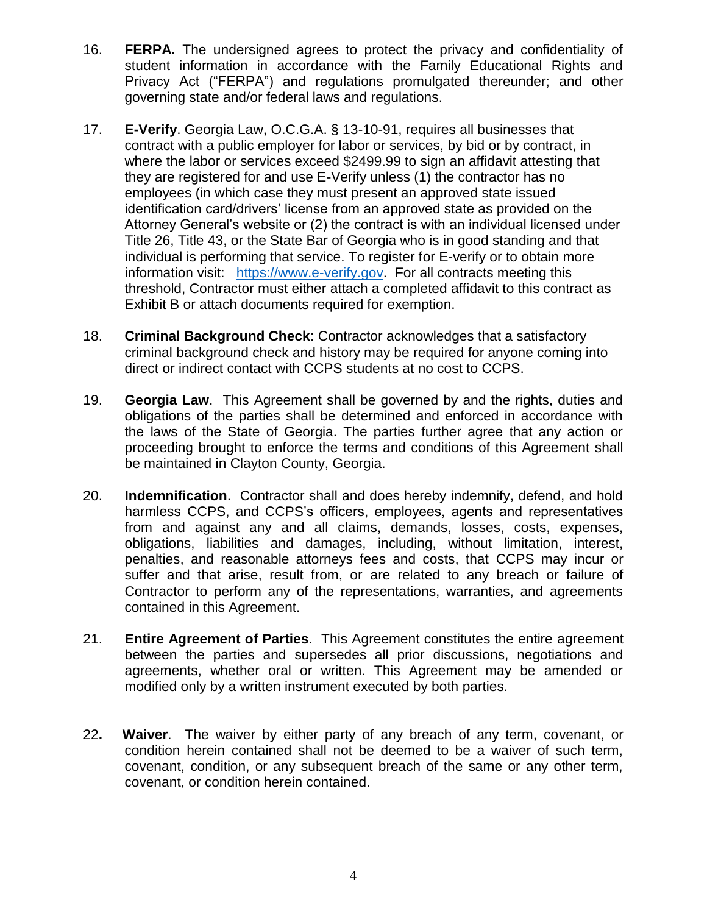- 16. **FERPA.** The undersigned agrees to protect the privacy and confidentiality of student information in accordance with the Family Educational Rights and Privacy Act ("FERPA") and regulations promulgated thereunder; and other governing state and/or federal laws and regulations.
- 17. **E-Verify**. Georgia Law, O.C.G.A. § 13-10-91, requires all businesses that contract with a public employer for labor or services, by bid or by contract, in where the labor or services exceed \$2499.99 to sign an affidavit attesting that they are registered for and use E-Verify unless (1) the contractor has no employees (in which case they must present an approved state issued identification card/drivers' license from an approved state as provided on the Attorney General's website or (2) the contract is with an individual licensed under Title 26, Title 43, or the State Bar of Georgia who is in good standing and that individual is performing that service. To register for E-verify or to obtain more information visit: [https://www.e-verify.gov.](https://www.e-verify.gov/) For all contracts meeting this threshold, Contractor must either attach a completed affidavit to this contract as Exhibit B or attach documents required for exemption.
- 18. **Criminal Background Check**: Contractor acknowledges that a satisfactory criminal background check and history may be required for anyone coming into direct or indirect contact with CCPS students at no cost to CCPS.
- 19. **Georgia Law**. This Agreement shall be governed by and the rights, duties and obligations of the parties shall be determined and enforced in accordance with the laws of the State of Georgia. The parties further agree that any action or proceeding brought to enforce the terms and conditions of this Agreement shall be maintained in Clayton County, Georgia.
- 20. **Indemnification**. Contractor shall and does hereby indemnify, defend, and hold harmless CCPS, and CCPS's officers, employees, agents and representatives from and against any and all claims, demands, losses, costs, expenses, obligations, liabilities and damages, including, without limitation, interest, penalties, and reasonable attorneys fees and costs, that CCPS may incur or suffer and that arise, result from, or are related to any breach or failure of Contractor to perform any of the representations, warranties, and agreements contained in this Agreement.
- 21. **Entire Agreement of Parties**. This Agreement constitutes the entire agreement between the parties and supersedes all prior discussions, negotiations and agreements, whether oral or written. This Agreement may be amended or modified only by a written instrument executed by both parties.
- 22**. Waiver**. The waiver by either party of any breach of any term, covenant, or condition herein contained shall not be deemed to be a waiver of such term, covenant, condition, or any subsequent breach of the same or any other term, covenant, or condition herein contained.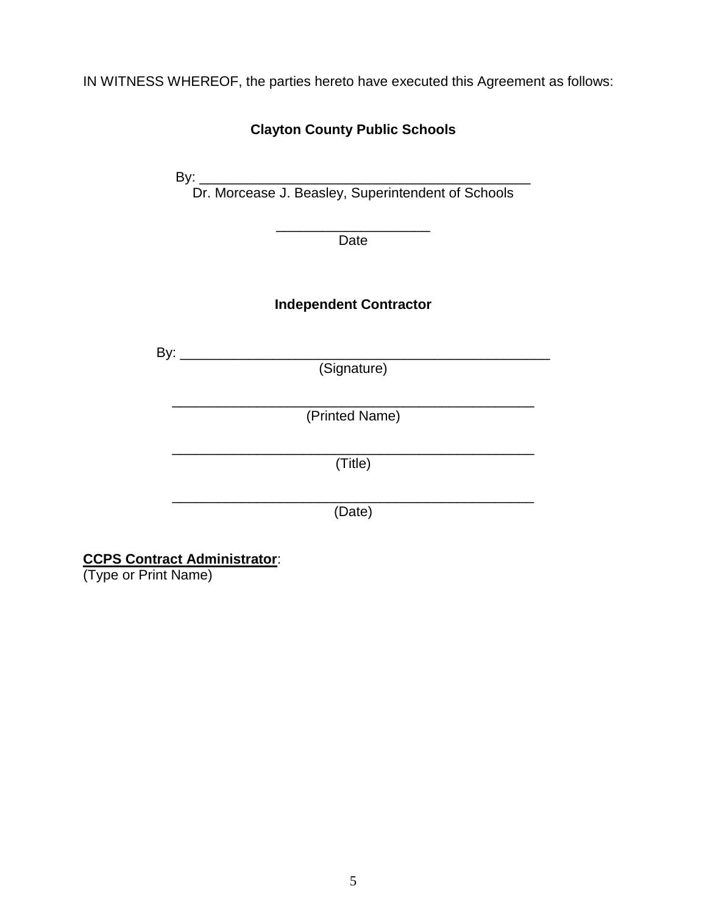IN WITNESS WHEREOF, the parties hereto have executed this Agreement as follows:

| <b>Clayton County Public Schools</b> |                               |
|--------------------------------------|-------------------------------|
|                                      |                               |
|                                      |                               |
|                                      | Date                          |
|                                      | <b>Independent Contractor</b> |
|                                      | (Signature)                   |
|                                      | (Printed Name)                |
|                                      |                               |
|                                      | (Title)                       |
|                                      | (Date)                        |

#### **CCPS Contract Administrator**:

(Type or Print Name)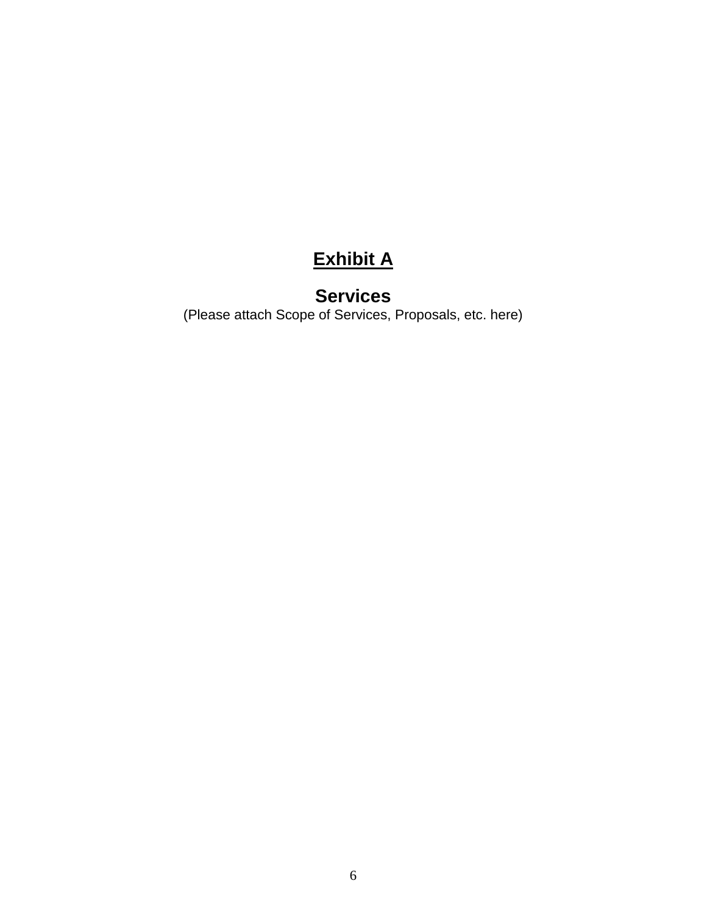## **Exhibit A**

### **Services**

(Please attach Scope of Services, Proposals, etc. here)